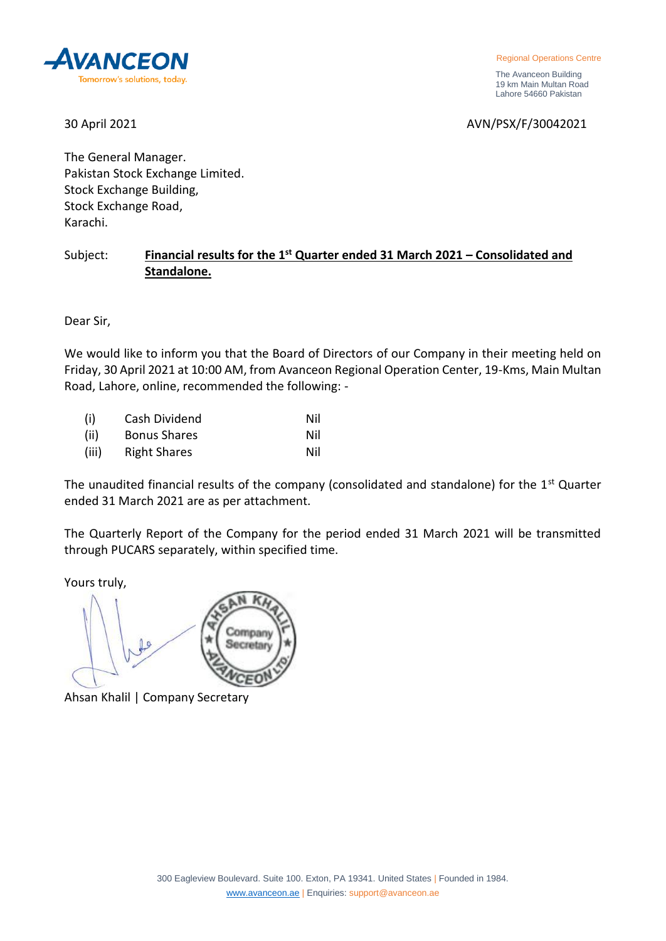

Regional Operations Centre

 The Avanceon Building 19 km Main Multan Road Lahore 54660 Pakistan

30 April 2021 2021 2021 2021 2021 2021 2022 2024 2027 2028 2029 2021

The General Manager. Pakistan Stock Exchange Limited. Stock Exchange Building, Stock Exchange Road, Karachi.

## Subject: **Financial results for the 1st Quarter ended 31 March 2021 – Consolidated and Standalone.**

Dear Sir,

We would like to inform you that the Board of Directors of our Company in their meeting held on Friday, 30 April 2021 at 10:00 AM, from Avanceon Regional Operation Center, 19-Kms, Main Multan Road, Lahore, online, recommended the following: -

| (i)   | Cash Dividend       | Nil |
|-------|---------------------|-----|
| (ii)  | <b>Bonus Shares</b> | Nil |
| (iii) | <b>Right Shares</b> | Nil |

The unaudited financial results of the company (consolidated and standalone) for the 1<sup>st</sup> Quarter ended 31 March 2021 are as per attachment.

The Quarterly Report of the Company for the period ended 31 March 2021 will be transmitted through PUCARS separately, within specified time.

Yours truly,

Company Secretary

Ahsan Khalil | Company Secretary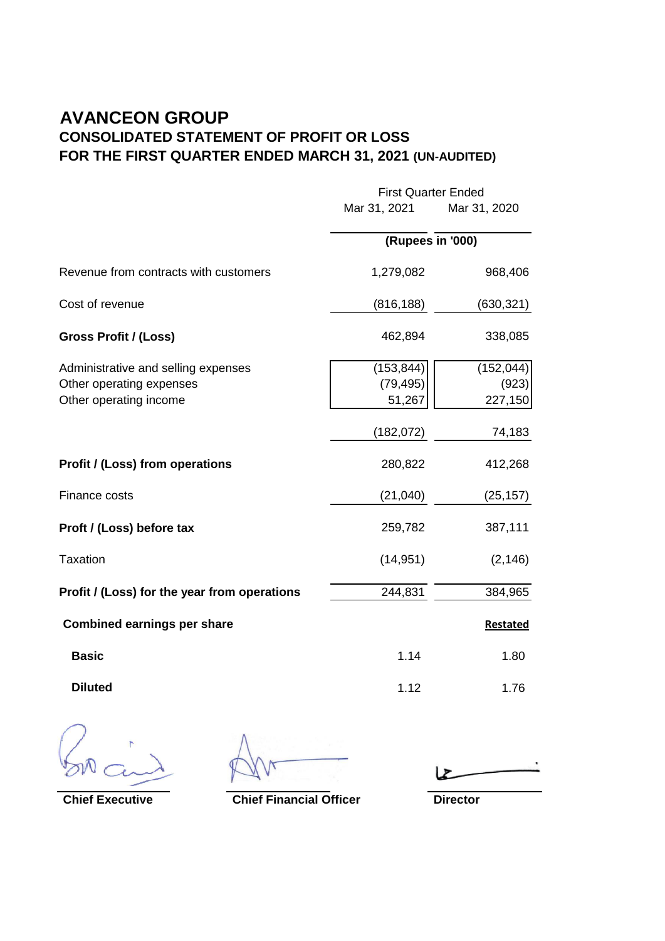## **AVANCEON GROUP CONSOLIDATED STATEMENT OF PROFIT OR LOSS FOR THE FIRST QUARTER ENDED MARCH 31, 2021 (UN-AUDITED)**

|                                              |                  | <b>First Quarter Ended</b> |  |
|----------------------------------------------|------------------|----------------------------|--|
|                                              | Mar 31, 2021     | Mar 31, 2020               |  |
|                                              | (Rupees in '000) |                            |  |
| Revenue from contracts with customers        | 1,279,082        | 968,406                    |  |
| Cost of revenue                              | (816, 188)       | (630, 321)                 |  |
| Gross Profit / (Loss)                        | 462,894          | 338,085                    |  |
| Administrative and selling expenses          | (153, 844)       | (152, 044)                 |  |
| Other operating expenses                     | (79, 495)        | (923)                      |  |
| Other operating income                       | 51,267           | 227,150                    |  |
|                                              | (182, 072)       | 74,183                     |  |
| Profit / (Loss) from operations              | 280,822          | 412,268                    |  |
| Finance costs                                | (21,040)         | (25, 157)                  |  |
| Proft / (Loss) before tax                    | 259,782          | 387,111                    |  |
| <b>Taxation</b>                              | (14, 951)        | (2, 146)                   |  |
| Profit / (Loss) for the year from operations | 244,831          | 384,965                    |  |
| <b>Combined earnings per share</b>           |                  | <b>Restated</b>            |  |
| <b>Basic</b>                                 | 1.14             | 1.80                       |  |
| <b>Diluted</b>                               | 1.12             | 1.76                       |  |

 $\ddot{\phantom{1}}$ 

**Chief Executive Chief Financial Officer Director**